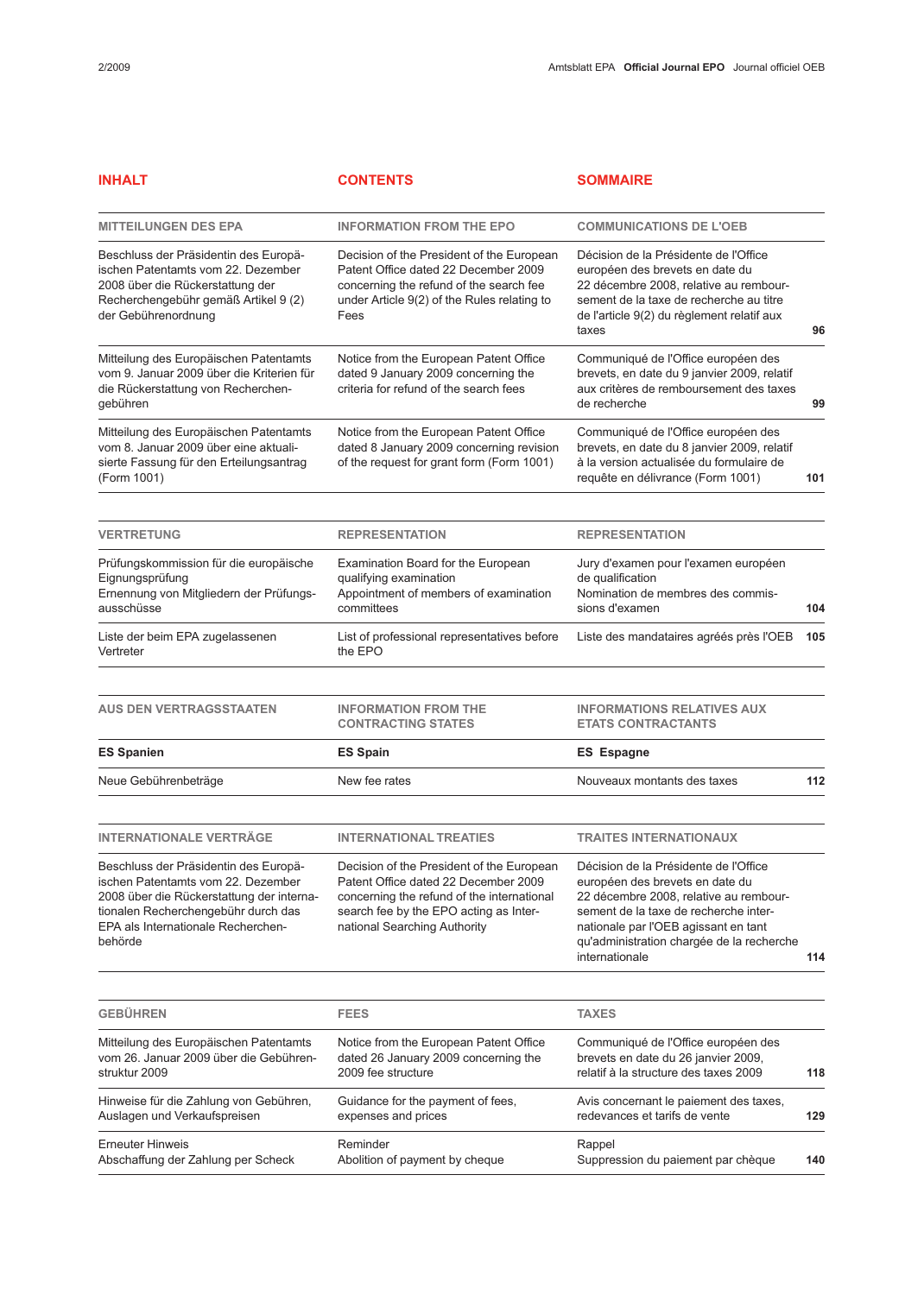| <b>INHALT</b>                                                                                                                                                                                                    | <b>CONTENTS</b>                                                                                                                                                                                           | <b>SOMMAIRE</b>                                                                                                                                                                                                                                                    |     |
|------------------------------------------------------------------------------------------------------------------------------------------------------------------------------------------------------------------|-----------------------------------------------------------------------------------------------------------------------------------------------------------------------------------------------------------|--------------------------------------------------------------------------------------------------------------------------------------------------------------------------------------------------------------------------------------------------------------------|-----|
| <b>MITTEILUNGEN DES EPA</b>                                                                                                                                                                                      | <b>INFORMATION FROM THE EPO</b>                                                                                                                                                                           | <b>COMMUNICATIONS DE L'OEB</b>                                                                                                                                                                                                                                     |     |
| Beschluss der Präsidentin des Europä-<br>ischen Patentamts vom 22. Dezember<br>2008 über die Rückerstattung der<br>Recherchengebühr gemäß Artikel 9 (2)<br>der Gebührenordnung                                   | Decision of the President of the European<br>Patent Office dated 22 December 2009<br>concerning the refund of the search fee<br>under Article 9(2) of the Rules relating to<br>Fees                       | Décision de la Présidente de l'Office<br>européen des brevets en date du<br>22 décembre 2008, relative au rembour-<br>sement de la taxe de recherche au titre<br>de l'article 9(2) du règlement relatif aux<br>taxes                                               | 96  |
| Mitteilung des Europäischen Patentamts<br>vom 9. Januar 2009 über die Kriterien für<br>die Rückerstattung von Recherchen-<br>gebühren                                                                            | Notice from the European Patent Office<br>dated 9 January 2009 concerning the<br>criteria for refund of the search fees                                                                                   | Communiqué de l'Office européen des<br>brevets, en date du 9 janvier 2009, relatif<br>aux critères de remboursement des taxes<br>de recherche                                                                                                                      | 99  |
| Mitteilung des Europäischen Patentamts<br>vom 8. Januar 2009 über eine aktuali-<br>sierte Fassung für den Erteilungsantrag<br>(Form 1001)                                                                        | Notice from the European Patent Office<br>dated 8 January 2009 concerning revision<br>of the request for grant form (Form 1001)                                                                           | Communiqué de l'Office européen des<br>brevets, en date du 8 janvier 2009, relatif<br>à la version actualisée du formulaire de<br>requête en délivrance (Form 1001)                                                                                                | 101 |
| <b>VERTRETUNG</b>                                                                                                                                                                                                | <b>REPRESENTATION</b>                                                                                                                                                                                     | <b>REPRESENTATION</b>                                                                                                                                                                                                                                              |     |
| Prüfungskommission für die europäische<br>Eignungsprüfung<br>Ernennung von Mitgliedern der Prüfungs-<br>ausschüsse                                                                                               | Examination Board for the European<br>qualifying examination<br>Appointment of members of examination<br>committees                                                                                       | Jury d'examen pour l'examen européen<br>de qualification<br>Nomination de membres des commis-<br>sions d'examen                                                                                                                                                    | 104 |
| Liste der beim EPA zugelassenen<br>Vertreter                                                                                                                                                                     | List of professional representatives before<br>the EPO                                                                                                                                                    | Liste des mandataires agréés près l'OEB                                                                                                                                                                                                                            | 105 |
| <b>AUS DEN VERTRAGSSTAATEN</b>                                                                                                                                                                                   | <b>INFORMATION FROM THE</b><br><b>CONTRACTING STATES</b>                                                                                                                                                  | <b>INFORMATIONS RELATIVES AUX</b><br><b>ETATS CONTRACTANTS</b>                                                                                                                                                                                                     |     |
| <b>ES Spanien</b>                                                                                                                                                                                                | <b>ES Spain</b>                                                                                                                                                                                           | <b>ES Espagne</b>                                                                                                                                                                                                                                                  |     |
| Neue Gebührenbeträge                                                                                                                                                                                             | New fee rates                                                                                                                                                                                             | Nouveaux montants des taxes                                                                                                                                                                                                                                        | 112 |
| <b>INTERNATIONALE VERTRÄGE</b>                                                                                                                                                                                   | <b>INTERNATIONAL TREATIES</b>                                                                                                                                                                             | <b>TRAITES INTERNATIONAUX</b>                                                                                                                                                                                                                                      |     |
| Beschluss der Präsidentin des Europä-<br>ischen Patentamts vom 22. Dezember<br>2008 über die Rückerstattung der interna-<br>tionalen Recherchengebühr durch das<br>EPA als Internationale Recherchen-<br>behörde | Decision of the President of the European<br>Patent Office dated 22 December 2009<br>concerning the refund of the international<br>search fee by the EPO acting as Inter-<br>national Searching Authority | Décision de la Présidente de l'Office<br>européen des brevets en date du<br>22 décembre 2008, relative au rembour-<br>sement de la taxe de recherche inter-<br>nationale par l'OEB agissant en tant<br>qu'administration chargée de la recherche<br>internationale | 114 |
| <b>GEBÜHREN</b>                                                                                                                                                                                                  | <b>FEES</b>                                                                                                                                                                                               | <b>TAXES</b>                                                                                                                                                                                                                                                       |     |
| Mitteilung des Europäischen Patentamts<br>vom 26. Januar 2009 über die Gebühren-<br>struktur 2009                                                                                                                | Notice from the European Patent Office<br>dated 26 January 2009 concerning the<br>2009 fee structure                                                                                                      | Communiqué de l'Office européen des<br>brevets en date du 26 janvier 2009,<br>relatif à la structure des taxes 2009                                                                                                                                                | 118 |
| Hinweise für die Zahlung von Gebühren,<br>Auslagen und Verkaufspreisen                                                                                                                                           | Guidance for the payment of fees,<br>expenses and prices                                                                                                                                                  | Avis concernant le paiement des taxes,<br>redevances et tarifs de vente                                                                                                                                                                                            | 129 |
| <b>Erneuter Hinweis</b><br>Abschaffung der Zahlung per Scheck                                                                                                                                                    | Reminder<br>Abolition of payment by cheque                                                                                                                                                                | Rappel<br>Suppression du paiement par chèque                                                                                                                                                                                                                       | 140 |